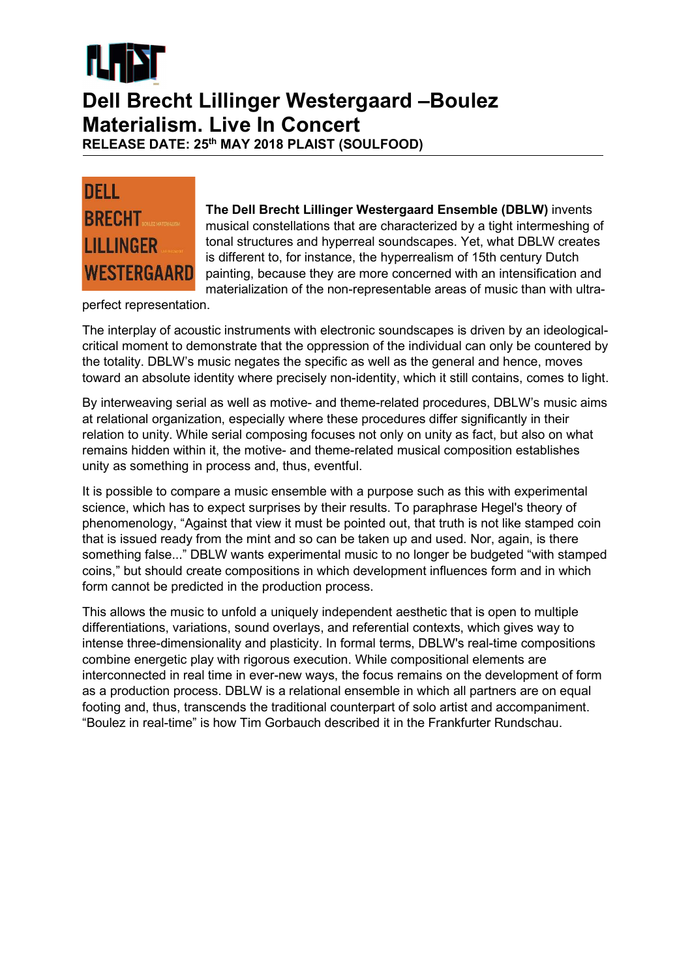

## Dell Brecht Lillinger Westergaard –Boulez Materialism. Live In Concert

RELEASE DATE: 25<sup>th</sup> MAY 2018 PLAIST (SOULFOOD)



The Dell Brecht Lillinger Westergaard Ensemble (DBLW) invents musical constellations that are characterized by a tight intermeshing of tonal structures and hyperreal soundscapes. Yet, what DBLW creates is different to, for instance, the hyperrealism of 15th century Dutch painting, because they are more concerned with an intensification and materialization of the non-representable areas of music than with ultra-

perfect representation.

The interplay of acoustic instruments with electronic soundscapes is driven by an ideologicalcritical moment to demonstrate that the oppression of the individual can only be countered by the totality. DBLW's music negates the specific as well as the general and hence, moves toward an absolute identity where precisely non-identity, which it still contains, comes to light.

By interweaving serial as well as motive- and theme-related procedures, DBLW's music aims at relational organization, especially where these procedures differ significantly in their relation to unity. While serial composing focuses not only on unity as fact, but also on what remains hidden within it, the motive- and theme-related musical composition establishes unity as something in process and, thus, eventful.

It is possible to compare a music ensemble with a purpose such as this with experimental science, which has to expect surprises by their results. To paraphrase Hegel's theory of phenomenology, "Against that view it must be pointed out, that truth is not like stamped coin that is issued ready from the mint and so can be taken up and used. Nor, again, is there something false..." DBLW wants experimental music to no longer be budgeted "with stamped coins," but should create compositions in which development influences form and in which form cannot be predicted in the production process.

This allows the music to unfold a uniquely independent aesthetic that is open to multiple differentiations, variations, sound overlays, and referential contexts, which gives way to intense three-dimensionality and plasticity. In formal terms, DBLW's real-time compositions combine energetic play with rigorous execution. While compositional elements are interconnected in real time in ever-new ways, the focus remains on the development of form as a production process. DBLW is a relational ensemble in which all partners are on equal footing and, thus, transcends the traditional counterpart of solo artist and accompaniment. "Boulez in real-time" is how Tim Gorbauch described it in the Frankfurter Rundschau.